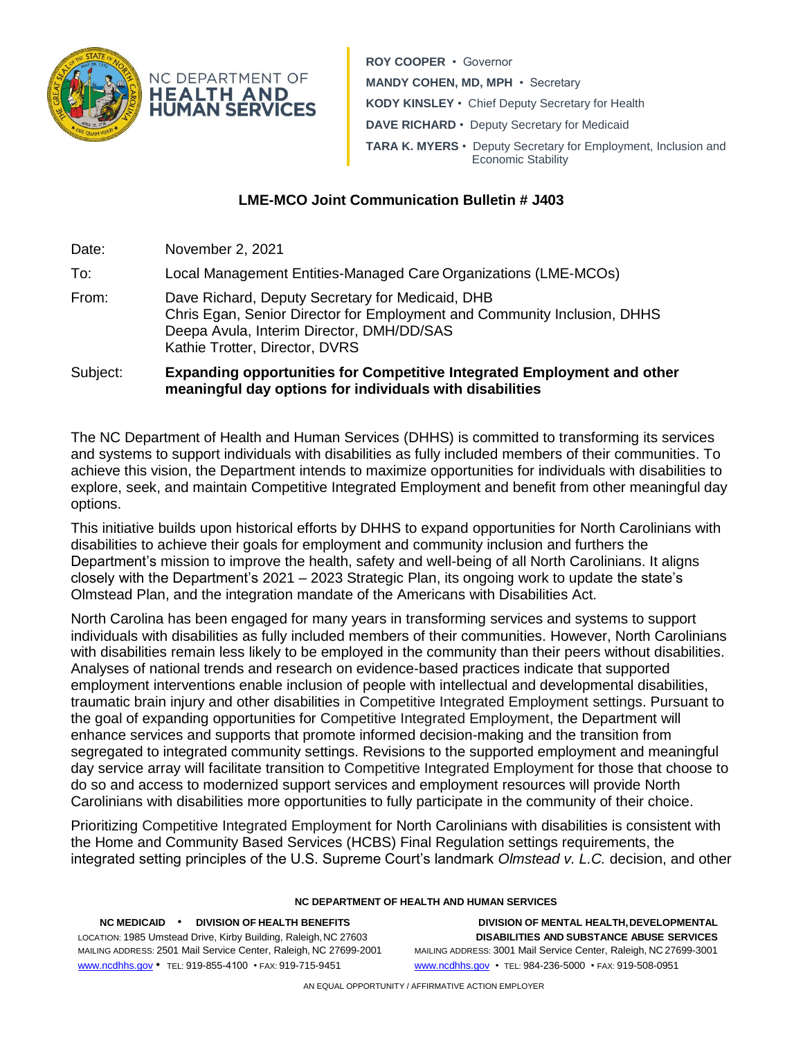

**ROY COOPER** • Governor **MANDY COHEN, MD, MPH** • Secretary **KODY KINSLEY** • Chief Deputy Secretary for Health **DAVE RICHARD** • Deputy Secretary for Medicaid **TARA K. MYERS** • Deputy Secretary for Employment, Inclusion and Economic Stability

## **LME-MCO Joint Communication Bulletin # J403**

Date: November 2, 2021 To: Local Management Entities-Managed Care Organizations (LME-MCOs) From: Dave Richard, Deputy Secretary for Medicaid, DHB Chris Egan, Senior Director for Employment and Community Inclusion, DHHS Deepa Avula, Interim Director, DMH/DD/SAS Kathie Trotter, Director, DVRS Subject: **Expanding opportunities for Competitive Integrated Employment and other meaningful day options for individuals with disabilities** 

The NC Department of Health and Human Services (DHHS) is committed to transforming its services and systems to support individuals with disabilities as fully included members of their communities. To achieve this vision, the Department intends to maximize opportunities for individuals with disabilities to explore, seek, and maintain Competitive Integrated Employment and benefit from other meaningful day options.

This initiative builds upon historical efforts by DHHS to expand opportunities for North Carolinians with disabilities to achieve their goals for employment and community inclusion and furthers the Department's [mission](https://www.ncdhhs.gov/media/2004/download) to improve the health, safety and well-being of all North Carolinians. It aligns closely with the Department's 2021 – [2023 Strategic Plan,](https://www.ncdhhs.gov/media/13331/download?attachment) its ongoing work to update the state's Olmstead Plan, and the integration mandate of the Americans with Disabilities Act.

North Carolina has been engaged for many years in transforming services and systems to support individuals with disabilities as fully included members of their communities. However, North Carolinians with disabilities remain less likely to be employed in the community than their peers without disabilities. Analyses of national trends and research on evidence-based practices indicate that supported employment interventions enable inclusion of people with intellectual and developmental disabilities, traumatic brain injury and other disabilities in Competitive Integrated Employment settings. Pursuant to the goal of expanding opportunities for Competitive Integrated Employment, the Department will enhance services and supports that promote informed decision-making and the transition from segregated to integrated community settings. Revisions to the supported employment and meaningful day service array will facilitate transition to Competitive Integrated Employment for those that choose to do so and access to modernized support services and employment resources will provide North Carolinians with disabilities more opportunities to fully participate in the community of their choice.

Prioritizing Competitive Integrated Employment for North Carolinians with disabilities is consistent with the Home and Community Based Services (HCBS) Final Regulation settings requirements, the integrated setting principles of the U.S. Supreme Court's landmark *Olmstead v. L.C.* decision, and other

## **NC DEPARTMENT OF HEALTH AND HUMAN SERVICES**

**NC MEDICAID** • **DIVISION OF HEALTH BENEFITS DIVISION OF MENTAL HEALTH,DEVELOPMENTAL** www.ncdhhs.gov • TEL: 919-855-4100 • FAX: 919-715-9451 www.ncdhhs.gov • TEL: 984-236-5000 • FAX: 919-508-0951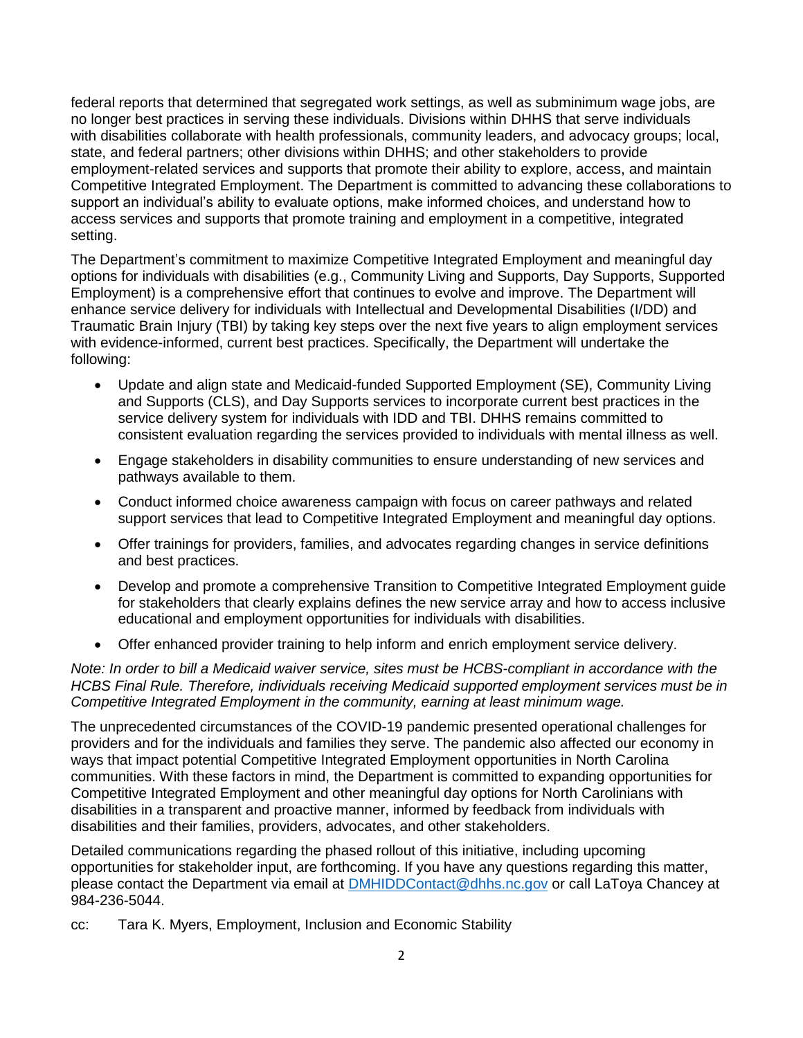federal reports that determined that segregated work settings, as well as subminimum wage jobs, are no longer best practices in serving these individuals. Divisions within DHHS that serve individuals with disabilities collaborate with health professionals, community leaders, and advocacy groups; local, state, and federal partners; other divisions within DHHS; and other stakeholders to provide employment-related services and supports that promote their ability to explore, access, and maintain Competitive Integrated Employment. The Department is committed to advancing these collaborations to support an individual's ability to evaluate options, make informed choices, and understand how to access services and supports that promote training and employment in a competitive, integrated setting.

The Department's commitment to maximize Competitive Integrated Employment and meaningful day options for individuals with disabilities (e.g., Community Living and Supports, Day Supports, Supported Employment) is a comprehensive effort that continues to evolve and improve. The Department will enhance service delivery for individuals with Intellectual and Developmental Disabilities (I/DD) and Traumatic Brain Injury (TBI) by taking key steps over the next five years to align employment services with evidence-informed, current best practices. Specifically, the Department will undertake the following:

- Update and align state and Medicaid-funded Supported Employment (SE), Community Living and Supports (CLS), and Day Supports services to incorporate current best practices in the service delivery system for individuals with IDD and TBI. DHHS remains committed to consistent evaluation regarding the services provided to individuals with mental illness as well.
- Engage stakeholders in disability communities to ensure understanding of new services and pathways available to them.
- Conduct informed choice awareness campaign with focus on career pathways and related support services that lead to Competitive Integrated Employment and meaningful day options.
- Offer trainings for providers, families, and advocates regarding changes in service definitions and best practices.
- Develop and promote a comprehensive Transition to Competitive Integrated Employment guide for stakeholders that clearly explains defines the new service array and how to access inclusive educational and employment opportunities for individuals with disabilities.
- Offer enhanced provider training to help inform and enrich employment service delivery.

*Note: In order to bill a Medicaid waiver service, sites must be HCBS-compliant in accordance with the HCBS Final Rule. Therefore, individuals receiving Medicaid supported employment services must be in Competitive Integrated Employment in the community, earning at least minimum wage.* 

The unprecedented circumstances of the COVID-19 pandemic presented operational challenges for providers and for the individuals and families they serve. The pandemic also affected our economy in ways that impact potential Competitive Integrated Employment opportunities in North Carolina communities. With these factors in mind, the Department is committed to expanding opportunities for Competitive Integrated Employment and other meaningful day options for North Carolinians with disabilities in a transparent and proactive manner, informed by feedback from individuals with disabilities and their families, providers, advocates, and other stakeholders.

Detailed communications regarding the phased rollout of this initiative, including upcoming opportunities for stakeholder input, are forthcoming. If you have any questions regarding this matter, please contact the Department via email at [DMHIDDContact@dhhs.nc.gov](mailto:DMHIDDContact@dhhs.nc.gov) or call LaToya Chancey at 984-236-5044.

cc: Tara K. Myers, Employment, Inclusion and Economic Stability